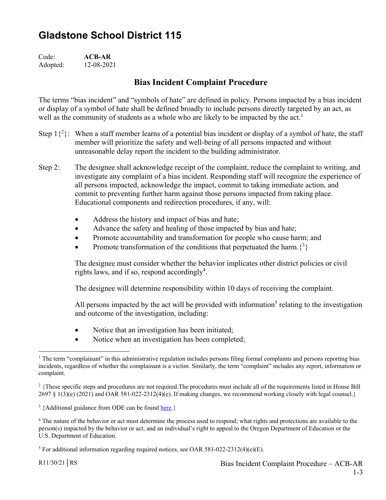## **Gladstone School District 115**

Code: **ACB-AR** Adopted: 12-08-2021

## **Bias Incident Complaint Procedure**

The terms "bias incident" and "symbols of hate" are defined in policy. Persons impacted by a bias incident or display of a symbol of hate shall be defined broadly to include persons directly targeted by an act, as well as the community of students as a whole who are likely to be impacted by the  $act<sup>1</sup>$ 

- Step  $1\{^{2}\}$ : When a staff member learns of a potential bias incident or display of a symbol of hate, the staff member will prioritize the safety and well-being of all persons impacted and without unreasonable delay report the incident to the building administrator.
- Step 2: The designee shall acknowledge receipt of the complaint, reduce the complaint to writing, and investigate any complaint of a bias incident. Responding staff will recognize the experience of all persons impacted, acknowledge the impact, commit to taking immediate action, and commit to preventing further harm against those persons impacted from taking place. Educational components and redirection procedures, if any, will:
	- Address the history and impact of bias and hate;
	- Advance the safety and healing of those impacted by bias and hate;
	- Promote accountability and transformation for people who cause harm; and
	- Promote transformation of the conditions that perpetuated the harm. $\{3\}$

The designee must consider whether the behavior implicates other district policies or civil rights laws, and if so, respond accordingly<sup>4</sup>.

The designee will determine responsibility within 10 days of receiving the complaint.

All persons impacted by the act will be provided with information<sup>5</sup> relating to the investigation and outcome of the investigation, including:

- Notice that an investigation has been initiated;
- Notice when an investigation has been completed;

 $\overline{a}$ <sup>1</sup> The term "complainant" in this administrative regulation includes persons filing formal complaints and persons reporting bias incidents, regardless of whether the complainant is a victim. Similarly, the term "complaint" includes any report, information or complaint.

<sup>&</sup>lt;sup>2</sup> {These specific steps and procedures are not required. The procedures must include all of the requirements listed in House Bill  $2697 \S 1(3)(e)$  (2021) and OAR 581-022-2312(4)(e). If making changes, we recommend working closely with legal counsel.}

<sup>&</sup>lt;sup>3</sup> {Additional guidance from ODE can be found here.}

<sup>&</sup>lt;sup>4</sup> The nature of the behavior or act must determine the process used to respond; what rights and protections are available to the person(s) impacted by the behavior or act; and an individual's right to appeal to the Oregon Department of Education or the U.S. Department of Education.

<sup>&</sup>lt;sup>5</sup> For additional information regarding required notices, see OAR 581-022-2312(4)(e)(E).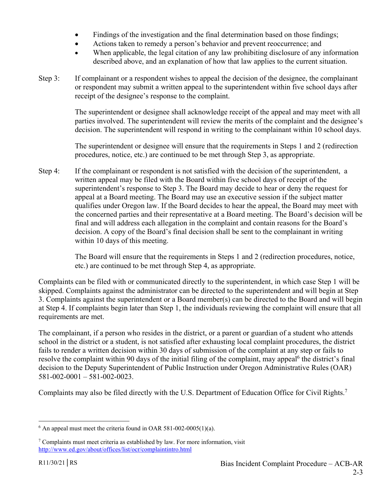- Findings of the investigation and the final determination based on those findings;
- Actions taken to remedy a person's behavior and prevent reoccurrence; and
- When applicable, the legal citation of any law prohibiting disclosure of any information described above, and an explanation of how that law applies to the current situation.
- Step 3: If complainant or a respondent wishes to appeal the decision of the designee, the complainant or respondent may submit a written appeal to the superintendent within five school days after receipt of the designee's response to the complaint.

The superintendent or designee shall acknowledge receipt of the appeal and may meet with all parties involved. The superintendent will review the merits of the complaint and the designee's decision. The superintendent will respond in writing to the complainant within 10 school days.

The superintendent or designee will ensure that the requirements in Steps 1 and 2 (redirection procedures, notice, etc.) are continued to be met through Step 3, as appropriate.

Step 4: If the complainant or respondent is not satisfied with the decision of the superintendent, a written appeal may be filed with the Board within five school days of receipt of the superintendent's response to Step 3. The Board may decide to hear or deny the request for appeal at a Board meeting. The Board may use an executive session if the subject matter qualifies under Oregon law. If the Board decides to hear the appeal, the Board may meet with the concerned parties and their representative at a Board meeting. The Board's decision will be final and will address each allegation in the complaint and contain reasons for the Board's decision. A copy of the Board's final decision shall be sent to the complainant in writing within 10 days of this meeting.

> The Board will ensure that the requirements in Steps 1 and 2 (redirection procedures, notice, etc.) are continued to be met through Step 4, as appropriate.

Complaints can be filed with or communicated directly to the superintendent, in which case Step 1 will be skipped. Complaints against the administrator can be directed to the superintendent and will begin at Step 3. Complaints against the superintendent or a Board member(s) can be directed to the Board and will begin at Step 4. If complaints begin later than Step 1, the individuals reviewing the complaint will ensure that all requirements are met.

The complainant, if a person who resides in the district, or a parent or guardian of a student who attends school in the district or a student, is not satisfied after exhausting local complaint procedures, the district fails to render a written decision within 30 days of submission of the complaint at any step or fails to resolve the complaint within 90 days of the initial filing of the complaint, may appeal<sup>6</sup> the district's final decision to the Deputy Superintendent of Public Instruction under Oregon Administrative Rules (OAR) 581-002-0001 – 581-002-0023.

Complaints may also be filed directly with the U.S. Department of Education Office for Civil Rights.7

 6 An appeal must meet the criteria found in OAR 581-002-0005(1)(a).

<sup>&</sup>lt;sup>7</sup> Complaints must meet criteria as established by law. For more information, visit http://www.ed.gov/about/offices/list/ocr/complaintintro.html